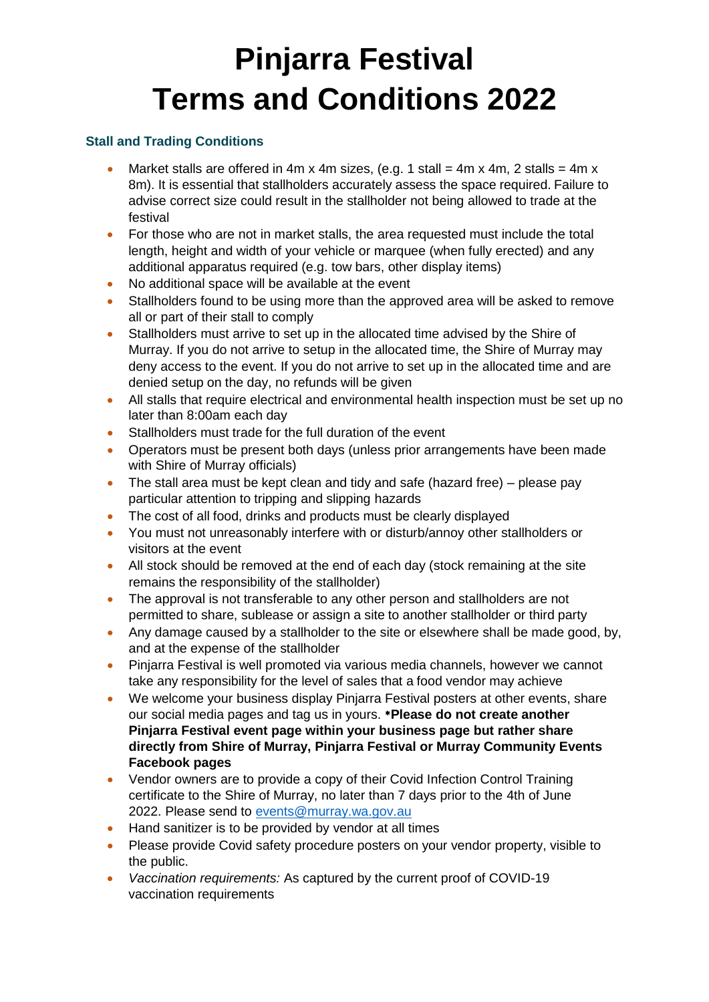# **Pinjarra Festival Terms and Conditions 2022**

## **Stall and Trading Conditions**

- Market stalls are offered in 4m x 4m sizes, (e.g. 1 stall = 4m x 4m, 2 stalls = 4m x 8m). It is essential that stallholders accurately assess the space required. Failure to advise correct size could result in the stallholder not being allowed to trade at the festival
- For those who are not in market stalls, the area requested must include the total length, height and width of your vehicle or marquee (when fully erected) and any additional apparatus required (e.g. tow bars, other display items)
- No additional space will be available at the event
- Stallholders found to be using more than the approved area will be asked to remove all or part of their stall to comply
- Stallholders must arrive to set up in the allocated time advised by the Shire of Murray. If you do not arrive to setup in the allocated time, the Shire of Murray may deny access to the event. If you do not arrive to set up in the allocated time and are denied setup on the day, no refunds will be given
- All stalls that require electrical and environmental health inspection must be set up no later than 8:00am each day
- Stallholders must trade for the full duration of the event
- Operators must be present both days (unless prior arrangements have been made with Shire of Murray officials)
- The stall area must be kept clean and tidy and safe (hazard free) please pay particular attention to tripping and slipping hazards
- The cost of all food, drinks and products must be clearly displayed
- You must not unreasonably interfere with or disturb/annoy other stallholders or visitors at the event
- All stock should be removed at the end of each day (stock remaining at the site remains the responsibility of the stallholder)
- The approval is not transferable to any other person and stallholders are not permitted to share, sublease or assign a site to another stallholder or third party
- Any damage caused by a stallholder to the site or elsewhere shall be made good, by, and at the expense of the stallholder
- Pinjarra Festival is well promoted via various media channels, however we cannot take any responsibility for the level of sales that a food vendor may achieve
- We welcome your business display Pinjarra Festival posters at other events, share our social media pages and tag us in yours. \***Please do not create another Pinjarra Festival event page within your business page but rather share directly from Shire of Murray, Pinjarra Festival or Murray Community Events Facebook pages**
- Vendor owners are to provide a copy of their Covid Infection Control Training certificate to the Shire of Murray, no later than 7 days prior to the 4th of June 2022. Please send to [events@murray.wa.gov.au](mailto:events@murray.wa.gov.au)
- Hand sanitizer is to be provided by vendor at all times
- Please provide Covid safety procedure posters on your vendor property, visible to the public.
- *Vaccination requirements:* As captured by the current proof of COVID-19 vaccination requirements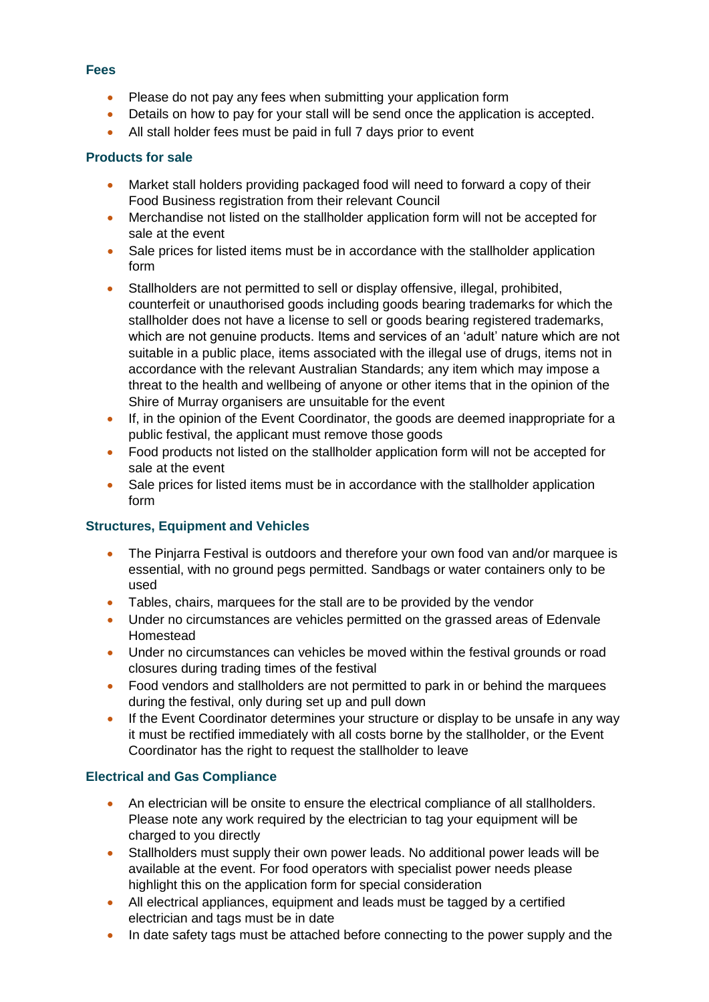#### **Fees**

- Please do not pay any fees when submitting your application form
- Details on how to pay for your stall will be send once the application is accepted.
- All stall holder fees must be paid in full 7 days prior to event

## **Products for sale**

- Market stall holders providing packaged food will need to forward a copy of their Food Business registration from their relevant Council
- Merchandise not listed on the stallholder application form will not be accepted for sale at the event
- Sale prices for listed items must be in accordance with the stallholder application form
- Stallholders are not permitted to sell or display offensive, illegal, prohibited, counterfeit or unauthorised goods including goods bearing trademarks for which the stallholder does not have a license to sell or goods bearing registered trademarks, which are not genuine products. Items and services of an 'adult' nature which are not suitable in a public place, items associated with the illegal use of drugs, items not in accordance with the relevant Australian Standards; any item which may impose a threat to the health and wellbeing of anyone or other items that in the opinion of the Shire of Murray organisers are unsuitable for the event
- If, in the opinion of the Event Coordinator, the goods are deemed inappropriate for a public festival, the applicant must remove those goods
- Food products not listed on the stallholder application form will not be accepted for sale at the event
- Sale prices for listed items must be in accordance with the stallholder application form

# **Structures, Equipment and Vehicles**

- The Pinjarra Festival is outdoors and therefore your own food van and/or marquee is essential, with no ground pegs permitted. Sandbags or water containers only to be used
- Tables, chairs, marquees for the stall are to be provided by the vendor
- Under no circumstances are vehicles permitted on the grassed areas of Edenvale Homestead
- Under no circumstances can vehicles be moved within the festival grounds or road closures during trading times of the festival
- Food vendors and stallholders are not permitted to park in or behind the marquees during the festival, only during set up and pull down
- If the Event Coordinator determines your structure or display to be unsafe in any way it must be rectified immediately with all costs borne by the stallholder, or the Event Coordinator has the right to request the stallholder to leave

# **Electrical and Gas Compliance**

- An electrician will be onsite to ensure the electrical compliance of all stallholders. Please note any work required by the electrician to tag your equipment will be charged to you directly
- Stallholders must supply their own power leads. No additional power leads will be available at the event. For food operators with specialist power needs please highlight this on the application form for special consideration
- All electrical appliances, equipment and leads must be tagged by a certified electrician and tags must be in date
- In date safety tags must be attached before connecting to the power supply and the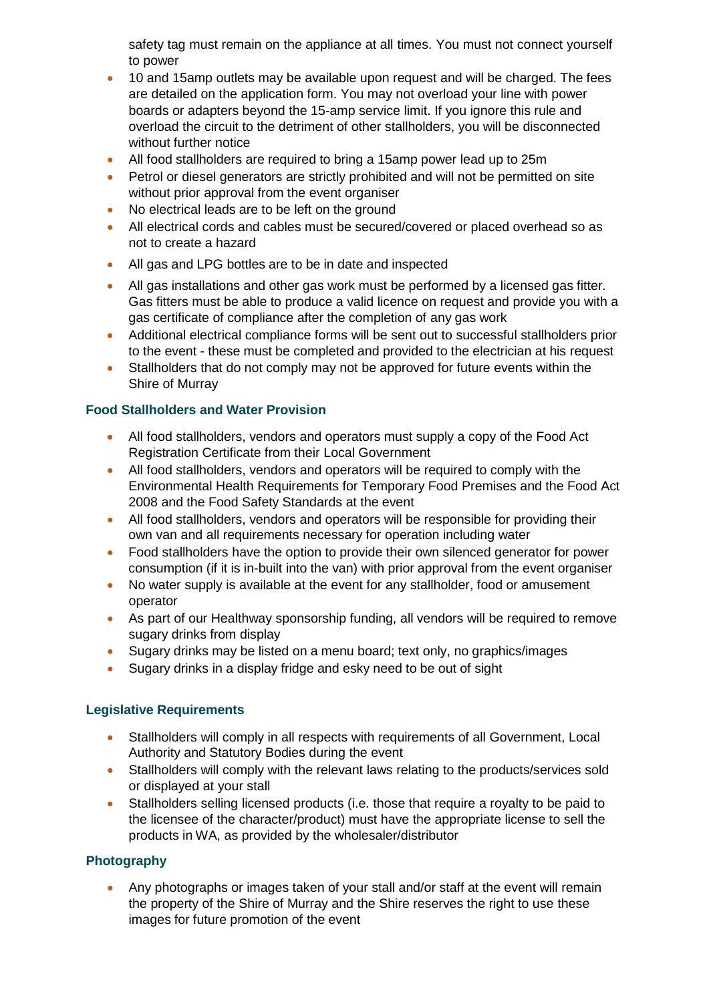safety tag must remain on the appliance at all times. You must not connect yourself to power

- 10 and 15amp outlets may be available upon request and will be charged. The fees are detailed on the application form. You may not overload your line with power boards or adapters beyond the 15-amp service limit. If you ignore this rule and overload the circuit to the detriment of other stallholders, you will be disconnected without further notice
- All food stallholders are required to bring a 15amp power lead up to 25m
- Petrol or diesel generators are strictly prohibited and will not be permitted on site without prior approval from the event organiser
- No electrical leads are to be left on the ground
- All electrical cords and cables must be secured/covered or placed overhead so as not to create a hazard
- All gas and LPG bottles are to be in date and inspected
- All gas installations and other gas work must be performed by a licensed gas fitter. Gas fitters must be able to produce a valid licence on request and provide you with a gas certificate of compliance after the completion of any gas work
- Additional electrical compliance forms will be sent out to successful stallholders prior to the event - these must be completed and provided to the electrician at his request
- Stallholders that do not comply may not be approved for future events within the Shire of Murray

# **Food Stallholders and Water Provision**

- All food stallholders, vendors and operators must supply a copy of the Food Act Registration Certificate from their Local Government
- All food stallholders, vendors and operators will be required to comply with the Environmental Health Requirements for Temporary Food Premises and the Food Act 2008 and the Food Safety Standards at the event
- All food stallholders, vendors and operators will be responsible for providing their own van and all requirements necessary for operation including water
- Food stallholders have the option to provide their own silenced generator for power consumption (if it is in-built into the van) with prior approval from the event organiser
- No water supply is available at the event for any stallholder, food or amusement operator
- As part of our Healthway sponsorship funding, all vendors will be required to remove sugary drinks from display
- Sugary drinks may be listed on a menu board; text only, no graphics/images
- Sugary drinks in a display fridge and esky need to be out of sight

# **Legislative Requirements**

- Stallholders will comply in all respects with requirements of all Government, Local Authority and Statutory Bodies during the event
- Stallholders will comply with the relevant laws relating to the products/services sold or displayed at your stall
- Stallholders selling licensed products (i.e. those that require a royalty to be paid to the licensee of the character/product) must have the appropriate license to sell the products in WA, as provided by the wholesaler/distributor

# **Photography**

 Any photographs or images taken of your stall and/or staff at the event will remain the property of the Shire of Murray and the Shire reserves the right to use these images for future promotion of the event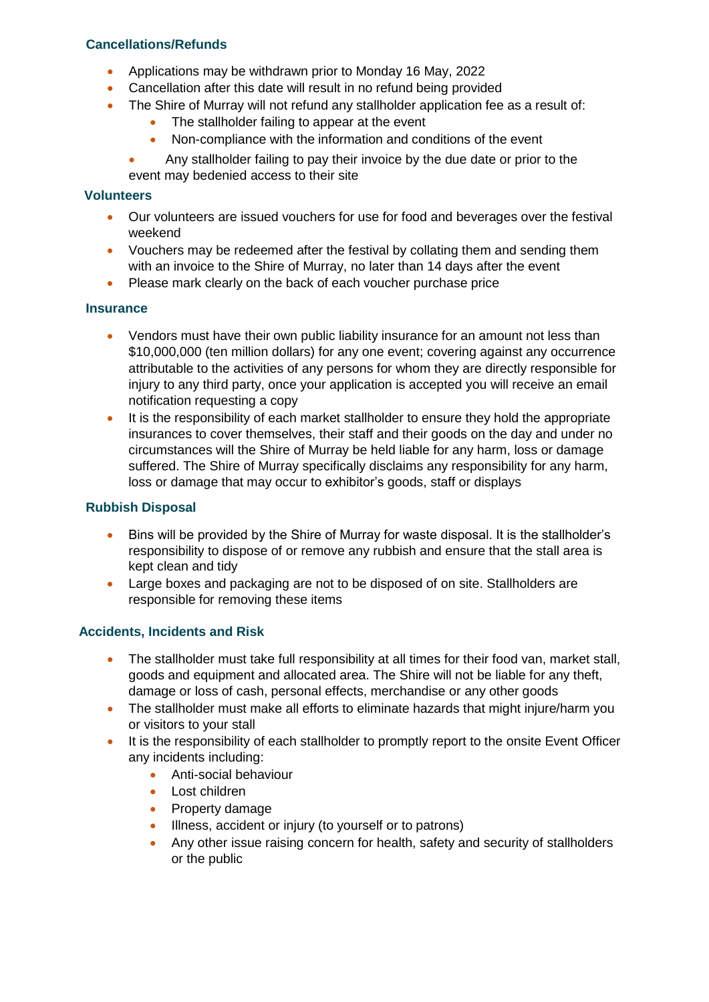# **Cancellations/Refunds**

- Applications may be withdrawn prior to Monday 16 May, 2022
- Cancellation after this date will result in no refund being provided
- The Shire of Murray will not refund any stallholder application fee as a result of:
	- The stallholder failing to appear at the event
	- Non-compliance with the information and conditions of the event

 Any stallholder failing to pay their invoice by the due date or prior to the event may bedenied access to their site

#### **Volunteers**

- Our volunteers are issued vouchers for use for food and beverages over the festival weekend
- Vouchers may be redeemed after the festival by collating them and sending them with an invoice to the Shire of Murray, no later than 14 days after the event
- Please mark clearly on the back of each voucher purchase price

#### **Insurance**

- Vendors must have their own public liability insurance for an amount not less than \$10,000,000 (ten million dollars) for any one event; covering against any occurrence attributable to the activities of any persons for whom they are directly responsible for injury to any third party, once your application is accepted you will receive an email notification requesting a copy
- It is the responsibility of each market stallholder to ensure they hold the appropriate insurances to cover themselves, their staff and their goods on the day and under no circumstances will the Shire of Murray be held liable for any harm, loss or damage suffered. The Shire of Murray specifically disclaims any responsibility for any harm, loss or damage that may occur to exhibitor's goods, staff or displays

## **Rubbish Disposal**

- Bins will be provided by the Shire of Murray for waste disposal. It is the stallholder's responsibility to dispose of or remove any rubbish and ensure that the stall area is kept clean and tidy
- Large boxes and packaging are not to be disposed of on site. Stallholders are responsible for removing these items

#### **Accidents, Incidents and Risk**

- The stallholder must take full responsibility at all times for their food van, market stall, goods and equipment and allocated area. The Shire will not be liable for any theft, damage or loss of cash, personal effects, merchandise or any other goods
- The stallholder must make all efforts to eliminate hazards that might injure/harm you or visitors to your stall
- It is the responsibility of each stallholder to promptly report to the onsite Event Officer any incidents including:
	- **Anti-social behaviour**
	- Lost children
	- Property damage
	- Illness, accident or injury (to yourself or to patrons)
	- Any other issue raising concern for health, safety and security of stallholders or the public